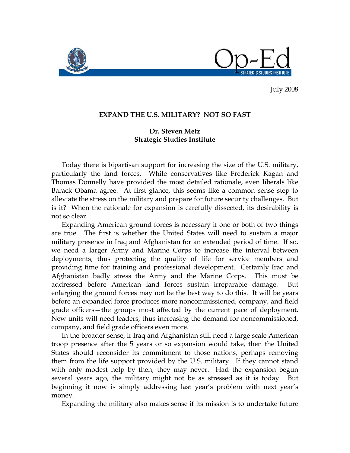

July 2008

## **EXPAND THE U.S. MILITARY? NOT SO FAST**

## **Dr. Steven Metz Strategic Studies Institute**

 Today there is bipartisan support for increasing the size of the U.S. military, particularly the land forces. While conservatives like Frederick Kagan and Thomas Donnelly have provided the most detailed rationale, even liberals like Barack Obama agree. At first glance, this seems like a common sense step to alleviate the stress on the military and prepare for future security challenges. But is it? When the rationale for expansion is carefully dissected, its desirability is not so clear.

 Expanding American ground forces is necessary if one or both of two things are true. The first is whether the United States will need to sustain a major military presence in Iraq and Afghanistan for an extended period of time. If so, we need a larger Army and Marine Corps to increase the interval between deployments, thus protecting the quality of life for service members and providing time for training and professional development. Certainly Iraq and Afghanistan badly stress the Army and the Marine Corps. This must be addressed before American land forces sustain irreparable damage. But enlarging the ground forces may not be the best way to do this. It will be years before an expanded force produces more noncommissioned, company, and field grade officers—the groups most affected by the current pace of deployment. New units will need leaders, thus increasing the demand for noncommissioned, company, and field grade officers even more.

 In the broader sense, if Iraq and Afghanistan still need a large scale American troop presence after the 5 years or so expansion would take, then the United States should reconsider its commitment to those nations, perhaps removing them from the life support provided by the U.S. military. If they cannot stand with only modest help by then, they may never. Had the expansion begun several years ago, the military might not be as stressed as it is today. But beginning it now is simply addressing last year's problem with next year's money.

Expanding the military also makes sense if its mission is to undertake future